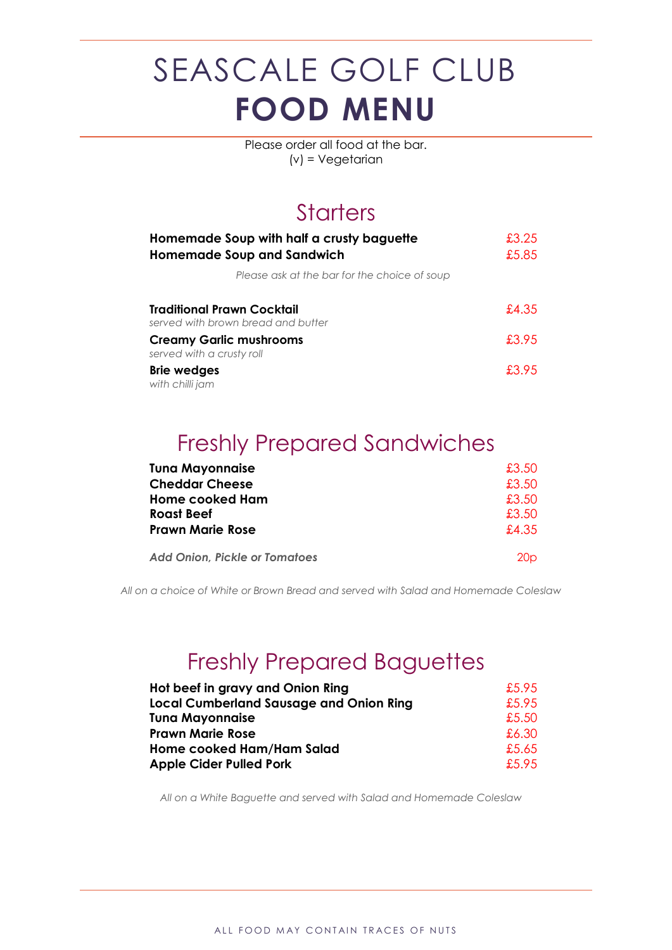Please order all food at the bar. (v) = Vegetarian

#### **Starters**

| Homemade Soup with half a crusty baguette<br><b>Homemade Soup and Sandwich</b> | £3.25<br>£5.85 |
|--------------------------------------------------------------------------------|----------------|
| Please ask at the bar for the choice of soup                                   |                |
| Traditional Prawn Cocktail<br>served with brown bread and butter               | £4.35          |
| <b>Creamy Garlic mushrooms</b><br>served with a crusty roll                    | £3.95          |
| <b>Brie wedges</b><br>with chilli jam                                          | £3.95          |

### Freshly Prepared Sandwiches

| <b>Tuna Mayonnaise</b>               | £3.50           |
|--------------------------------------|-----------------|
| <b>Cheddar Cheese</b>                | £3.50           |
| <b>Home cooked Ham</b>               | £3.50           |
| <b>Roast Beef</b>                    | £3.50           |
| <b>Prawn Marie Rose</b>              | £4.35           |
| <b>Add Onion, Pickle or Tomatoes</b> | 20 <sub>D</sub> |

*All on a choice of White or Brown Bread and served with Salad and Homemade Coleslaw*

#### Freshly Prepared Baguettes

| Hot beef in gravy and Onion Ring               | £.5.95 |
|------------------------------------------------|--------|
| <b>Local Cumberland Sausage and Onion Ring</b> | £5.95  |
| <b>Tuna Mayonnaise</b>                         | £5.50  |
| <b>Prawn Marie Rose</b>                        | £6.30  |
| Home cooked Ham/Ham Salad                      | £5.65  |
| <b>Apple Cider Pulled Pork</b>                 | £5.95  |

*All on a White Baguette and served with Salad and Homemade Coleslaw*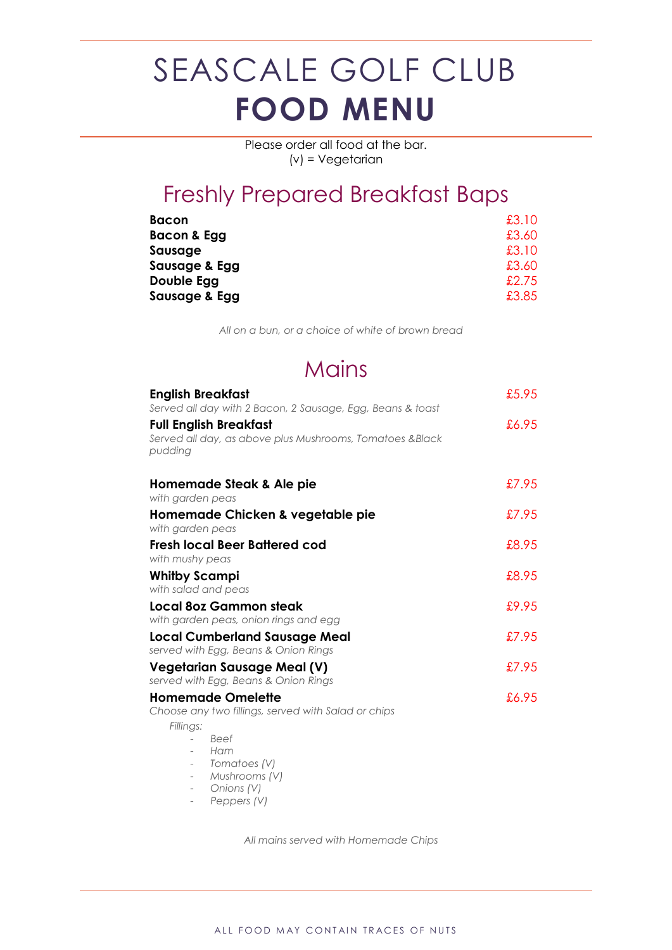Please order all food at the bar. (v) = Vegetarian

#### Freshly Prepared Breakfast Baps

| <b>Bacon</b>  | £3.10 |
|---------------|-------|
| Bacon & Egg   | £3.60 |
| Sausage       | £3.10 |
| Sausage & Egg | £3.60 |
| Double Egg    | £2.75 |
| Sausage & Egg | £3.85 |

*All on a bun, or a choice of white of brown bread*

#### **Mains**

| <b>English Breakfast</b><br>Served all day with 2 Bacon, 2 Sausage, Egg, Beans & toast               | £5.95 |
|------------------------------------------------------------------------------------------------------|-------|
| <b>Full English Breakfast</b><br>Served all day, as above plus Mushrooms, Tomatoes &Black<br>pudding | £6.95 |
| Homemade Steak & Ale pie<br>with garden peas                                                         | £7.95 |
| Homemade Chicken & vegetable pie<br>with garden peas                                                 | £7.95 |
| Fresh local Beer Battered cod<br>with mushy peas                                                     | £8.95 |
| <b>Whitby Scampi</b><br>with salad and peas                                                          | £8.95 |
| Local 80z Gammon steak<br>with garden peas, onion rings and egg                                      | £9.95 |
| <b>Local Cumberland Sausage Meal</b><br>served with Egg, Beans & Onion Rings                         | £7.95 |
| <b>Vegetarian Sausage Meal (V)</b><br>served with Egg, Beans & Onion Rings                           | £7.95 |
| <b>Homemade Omelette</b><br>Choose any two fillings, served with Salad or chips                      | £6.95 |
| Fillings:<br><b>Beef</b><br>Ham<br>Tomatoes (V)<br>Mushrooms (V)<br>$\overline{\phantom{0}}$         |       |

- *Onions (V)*
- *Peppers (V)*

*All mains served with Homemade Chips*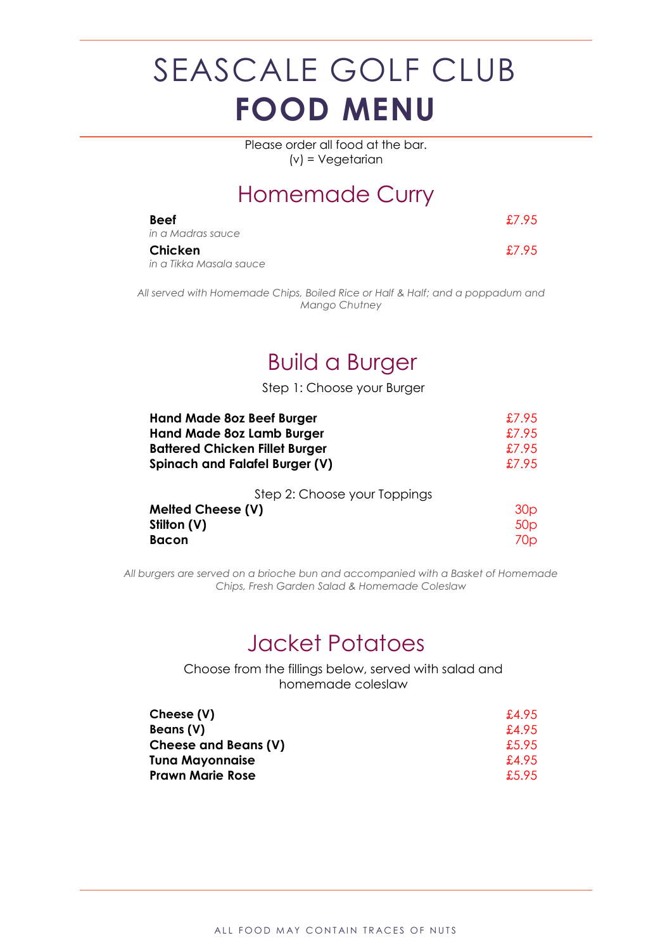Please order all food at the bar. (v) = Vegetarian

#### Homemade Curry

| <b>Beef</b><br>in a Madras sauce   | £7.95 |
|------------------------------------|-------|
| Chicken<br>in a Tikka Masala sauce | £7.95 |

*All served with Homemade Chips, Boiled Rice or Half & Half; and a poppadum and Mango Chutney*

#### Build a Burger

Step 1: Choose your Burger

| <b>Hand Made 80z Beef Burger</b>                                                 | £7.95                                     |
|----------------------------------------------------------------------------------|-------------------------------------------|
| <b>Hand Made 8oz Lamb Burger</b>                                                 | £7.95                                     |
| <b>Battered Chicken Fillet Burger</b>                                            | £7.95                                     |
| <b>Spinach and Falafel Burger (V)</b>                                            | £7.95                                     |
| Step 2: Choose your Toppings<br><b>Melted Cheese (V)</b><br>Stilton (V)<br>Bacon | 30 <sub>p</sub><br>50 <sub>p</sub><br>70p |

*All burgers are served on a brioche bun and accompanied with a Basket of Homemade Chips, Fresh Garden Salad & Homemade Coleslaw*

#### Jacket Potatoes

Choose from the fillings below, served with salad and homemade coleslaw

| Cheese (V)              | £4.95  |
|-------------------------|--------|
| Beans (V)               | £4.95  |
| Cheese and Beans (V)    | £5.95  |
| <b>Tuna Mayonnaise</b>  | £4.95  |
| <b>Prawn Marie Rose</b> | £.5.95 |